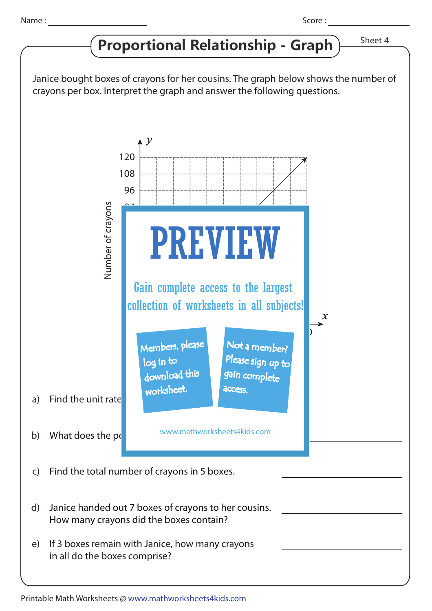